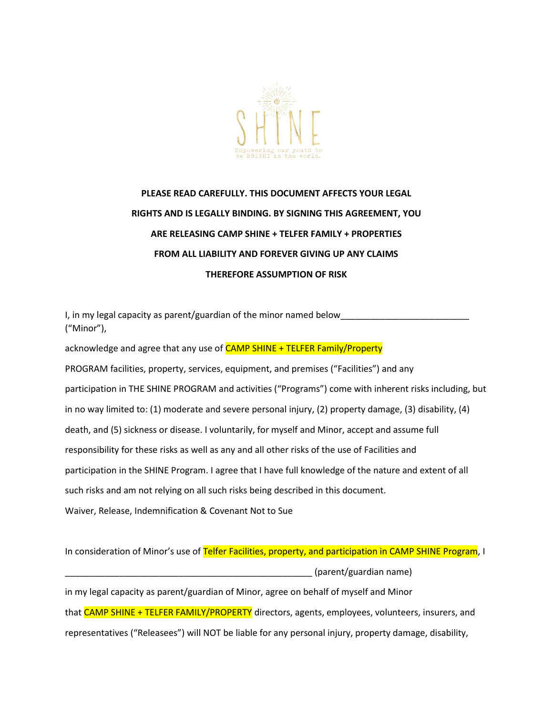

## **PLEASE READ CAREFULLY. THIS DOCUMENT AFFECTS YOUR LEGAL RIGHTS AND IS LEGALLY BINDING. BY SIGNING THIS AGREEMENT, YOU ARE RELEASING CAMP SHINE + TELFER FAMILY + PROPERTIES FROM ALL LIABILITY AND FOREVER GIVING UP ANY CLAIMS THEREFORE ASSUMPTION OF RISK**

I, in my legal capacity as parent/guardian of the minor named below ("Minor"),

acknowledge and agree that any use of **CAMP SHINE + TELFER Family/Property** PROGRAM facilities, property, services, equipment, and premises ("Facilities") and any participation in THE SHINE PROGRAM and activities ("Programs") come with inherent risks including, but in no way limited to: (1) moderate and severe personal injury, (2) property damage, (3) disability, (4) death, and (5) sickness or disease. I voluntarily, for myself and Minor, accept and assume full responsibility for these risks as well as any and all other risks of the use of Facilities and participation in the SHINE Program. I agree that I have full knowledge of the nature and extent of all such risks and am not relying on all such risks being described in this document. Waiver, Release, Indemnification & Covenant Not to Sue

In consideration of Minor's use of Telfer Facilities, property, and participation in CAMP SHINE Program, I \_\_\_\_\_\_\_\_\_\_\_\_\_\_\_\_\_\_\_\_\_\_\_\_\_\_\_\_\_\_\_\_\_\_\_\_\_\_\_\_\_\_\_\_\_\_\_\_\_\_ (parent/guardian name) in my legal capacity as parent/guardian of Minor, agree on behalf of myself and Minor that CAMP SHINE + TELFER FAMILY/PROPERTY directors, agents, employees, volunteers, insurers, and representatives ("Releasees") will NOT be liable for any personal injury, property damage, disability,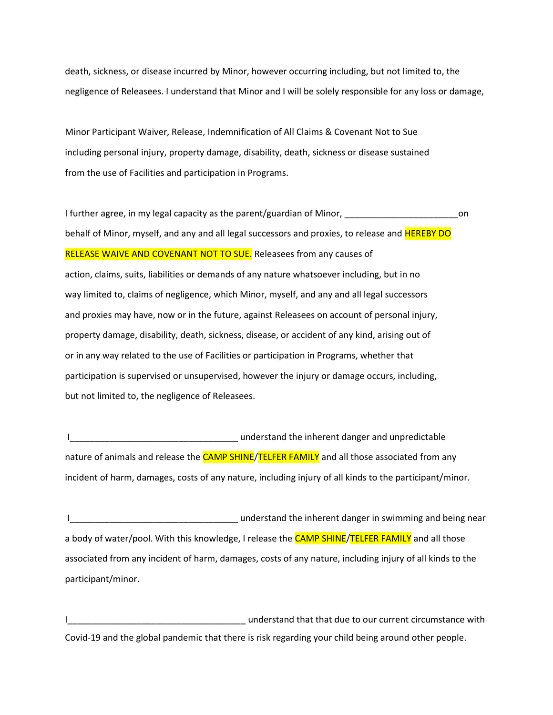death, sickness, or disease incurred by Minor, however occurring including, but not limited to, the negligence of Releasees. I understand that Minor and I will be solely responsible for any loss or damage,

Minor Participant Waiver, Release, Indemnification of All Claims & Covenant Not to Sue including personal injury, property damage, disability, death, sickness or disease sustained from the use of Facilities and participation in Programs.

I further agree, in my legal capacity as the parent/guardian of Minor, \_\_\_\_\_\_\_\_\_\_\_\_\_\_\_\_\_\_\_\_\_\_\_\_\_\_\_\_\_on behalf of Minor, myself, and any and all legal successors and proxies, to release and **HEREBY DO** RELEASE WAIVE AND COVENANT NOT TO SUE. Releasees from any causes of action, claims, suits, liabilities or demands of any nature whatsoever including, but in no way limited to, claims of negligence, which Minor, myself, and any and all legal successors and proxies may have, now or in the future, against Releasees on account of personal injury, property damage, disability, death, sickness, disease, or accident of any kind, arising out of or in any way related to the use of Facilities or participation in Programs, whether that participation is supervised or unsupervised, however the injury or damage occurs, including, but not limited to, the negligence of Releasees.

IMPO AND THE UNIVERSITY OF THE UNIVERSITY OF THE UNIVERSITY OF THE UNIVERSITY OF THE UNIVERSITY OF THE UNIVERSITY OF THE UNIVERSITY OF THE UNIVERSITY OF THE UNIVERSITY OF THE UNIVERSITY OF THE UNIVERSITY OF THE UNIVERSITY nature of animals and release the **CAMP SHINE/TELFER FAMILY** and all those associated from any incident of harm, damages, costs of any nature, including injury of all kinds to the participant/minor.

I\_\_\_\_\_\_\_\_\_\_\_\_\_\_\_\_\_\_\_\_\_\_\_\_\_\_\_\_\_\_\_\_\_\_ understand the inherent danger in swimming and being near a body of water/pool. With this knowledge, I release the CAMP SHINE/TELFER FAMILY and all those associated from any incident of harm, damages, costs of any nature, including injury of all kinds to the participant/minor.

ILLETTING INTERNATIONAL TEACH CHARGE INTERNATIONAL LIMIT UNITS ARRESTS UNITS AND LIMIT UNITS AND LIMIT UNITS A Covid-19 and the global pandemic that there is risk regarding your child being around other people.